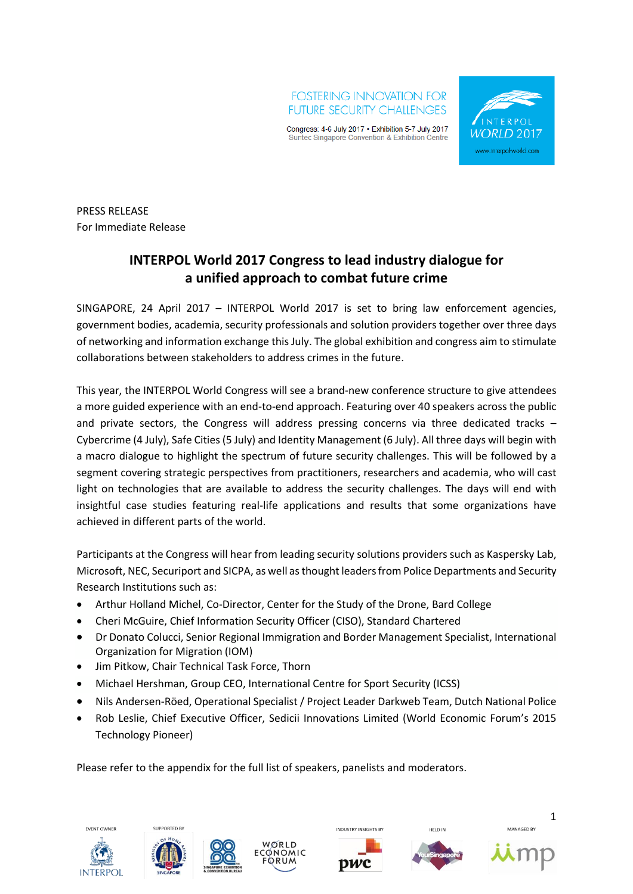



PRESS RELEASE For Immediate Release

# **INTERPOL World 2017 Congress to lead industry dialogue for a unified approach to combat future crime**

SINGAPORE, 24 April 2017 – INTERPOL World 2017 is set to bring law enforcement agencies, government bodies, academia, security professionals and solution providers together over three days of networking and information exchange this July. The global exhibition and congress aim to stimulate collaborations between stakeholders to address crimes in the future.

This year, the INTERPOL World Congress will see a brand-new conference structure to give attendees a more guided experience with an end-to-end approach. Featuring over 40 speakers across the public and private sectors, the Congress will address pressing concerns via three dedicated tracks – Cybercrime (4 July), Safe Cities (5 July) and Identity Management (6 July). All three days will begin with a macro dialogue to highlight the spectrum of future security challenges. This will be followed by a segment covering strategic perspectives from practitioners, researchers and academia, who will cast light on technologies that are available to address the security challenges. The days will end with insightful case studies featuring real-life applications and results that some organizations have achieved in different parts of the world.

Participants at the Congress will hear from leading security solutions providers such as Kaspersky Lab, Microsoft, NEC, Securiport and SICPA, as well asthought leaders from Police Departments and Security Research Institutions such as:

- Arthur Holland Michel, Co-Director, Center for the Study of the Drone, Bard College
- Cheri McGuire, Chief Information Security Officer (CISO), Standard Chartered
- Dr Donato Colucci, Senior Regional Immigration and Border Management Specialist, International Organization for Migration (IOM)
- Jim Pitkow, Chair Technical Task Force, Thorn
- Michael Hershman, Group CEO, International Centre for Sport Security (ICSS)
- Nils Andersen-Röed, Operational Specialist / Project Leader Darkweb Team, Dutch National Police
- Rob Leslie, Chief Executive Officer, Sedicii Innovations Limited (World Economic Forum's 2015 Technology Pioneer)

Please refer to the appendix for the full list of speakers, panelists and moderators.











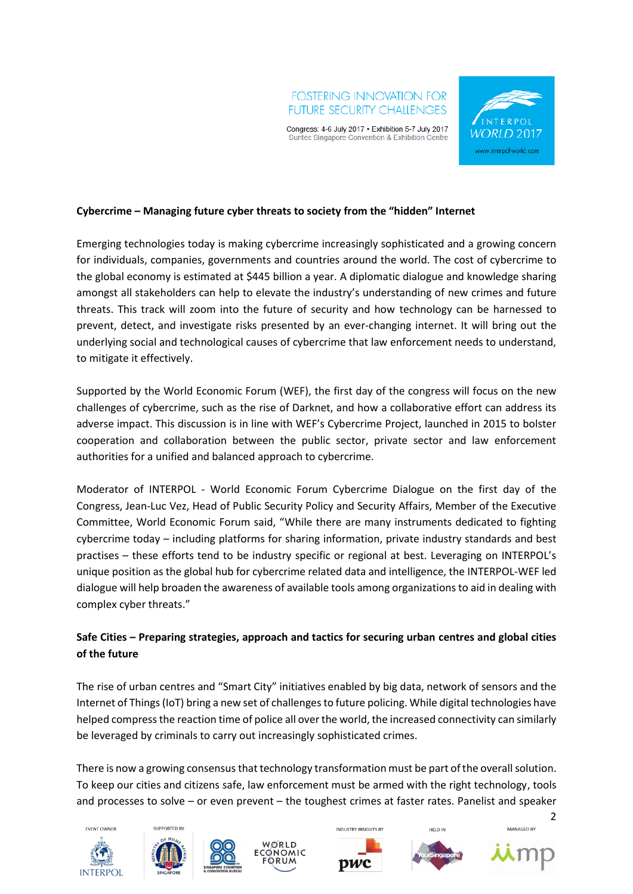



## **Cybercrime – Managing future cyber threats to society from the "hidden" Internet**

Emerging technologies today is making cybercrime increasingly sophisticated and a growing concern for individuals, companies, governments and countries around the world. The cost of cybercrime to the global economy is estimated at \$445 billion a year. A diplomatic dialogue and knowledge sharing amongst all stakeholders can help to elevate the industry's understanding of new crimes and future threats. This track will zoom into the future of security and how technology can be harnessed to prevent, detect, and investigate risks presented by an ever-changing internet. It will bring out the underlying social and technological causes of cybercrime that law enforcement needs to understand, to mitigate it effectively.

Supported by the World Economic Forum (WEF), the first day of the congress will focus on the new challenges of cybercrime, such as the rise of Darknet, and how a collaborative effort can address its adverse impact. This discussion is in line with WEF's Cybercrime Project, launched in 2015 to bolster cooperation and collaboration between the public sector, private sector and law enforcement authorities for a unified and balanced approach to cybercrime.

Moderator of INTERPOL - World Economic Forum Cybercrime Dialogue on the first day of the Congress, Jean-Luc Vez, Head of Public Security Policy and Security Affairs, Member of the Executive Committee, World Economic Forum said, "While there are many instruments dedicated to fighting cybercrime today – including platforms for sharing information, private industry standards and best practises – these efforts tend to be industry specific or regional at best. Leveraging on INTERPOL's unique position as the global hub for cybercrime related data and intelligence, the INTERPOL-WEF led dialogue will help broaden the awareness of available tools among organizations to aid in dealing with complex cyber threats."

# **Safe Cities – Preparing strategies, approach and tactics for securing urban centres and global cities of the future**

The rise of urban centres and "Smart City" initiatives enabled by big data, network of sensors and the Internet of Things (IoT) bring a new set of challenges to future policing. While digital technologies have helped compress the reaction time of police all over the world, the increased connectivity can similarly be leveraged by criminals to carry out increasingly sophisticated crimes.

There is now a growing consensus that technology transformation must be part of the overall solution. To keep our cities and citizens safe, law enforcement must be armed with the right technology, tools and processes to solve – or even prevent – the toughest crimes at faster rates. Panelist and speaker











**HELD IN** 

MANAGED BY



 $\overline{2}$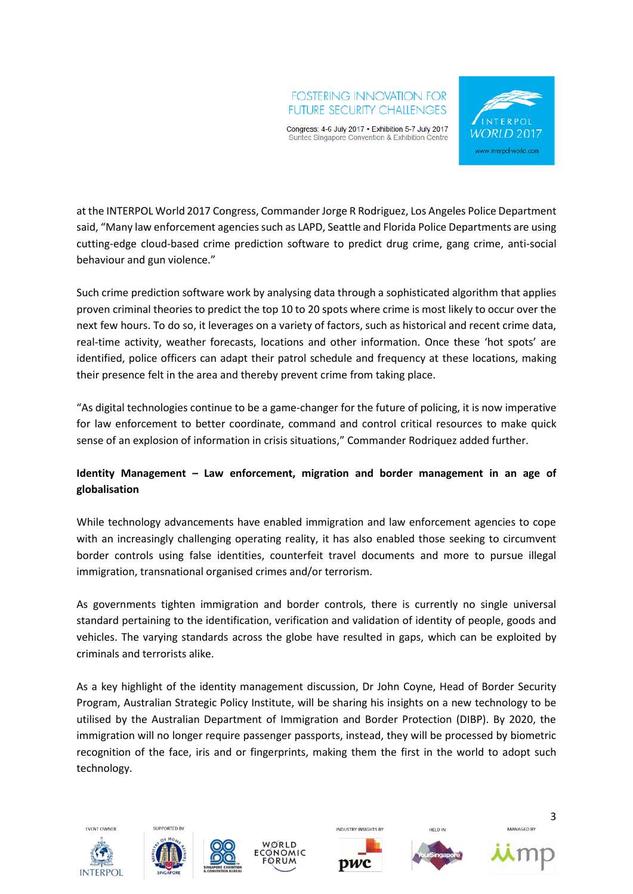# **FOSTERING INNOVATION FOR FUTURE SECURITY CHALLENGES**

Congress: 4-6 July 2017 . Exhibition 5-7 July 2017 Suntec Singapore Convention & Exhibition Centre



at the INTERPOL World 2017 Congress, Commander Jorge R Rodriguez, Los Angeles Police Department said, "Many law enforcement agencies such as LAPD, Seattle and Florida Police Departments are using cutting-edge cloud-based crime prediction software to predict drug crime, gang crime, anti-social behaviour and gun violence."

Such crime prediction software work by analysing data through a sophisticated algorithm that applies proven criminal theories to predict the top 10 to 20 spots where crime is most likely to occur over the next few hours. To do so, it leverages on a variety of factors, such as historical and recent crime data, real-time activity, weather forecasts, locations and other information. Once these 'hot spots' are identified, police officers can adapt their patrol schedule and frequency at these locations, making their presence felt in the area and thereby prevent crime from taking place.

"As digital technologies continue to be a game-changer for the future of policing, it is now imperative for law enforcement to better coordinate, command and control critical resources to make quick sense of an explosion of information in crisis situations," Commander Rodriquez added further.

# **Identity Management – Law enforcement, migration and border management in an age of globalisation**

While technology advancements have enabled immigration and law enforcement agencies to cope with an increasingly challenging operating reality, it has also enabled those seeking to circumvent border controls using false identities, counterfeit travel documents and more to pursue illegal immigration, transnational organised crimes and/or terrorism.

As governments tighten immigration and border controls, there is currently no single universal standard pertaining to the identification, verification and validation of identity of people, goods and vehicles. The varying standards across the globe have resulted in gaps, which can be exploited by criminals and terrorists alike.

As a key highlight of the identity management discussion, Dr John Coyne, Head of Border Security Program, Australian Strategic Policy Institute, will be sharing his insights on a new technology to be utilised by the Australian Department of Immigration and Border Protection (DIBP). By 2020, the immigration will no longer require passenger passports, instead, they will be processed by biometric recognition of the face, iris and or fingerprints, making them the first in the world to adopt such technology.











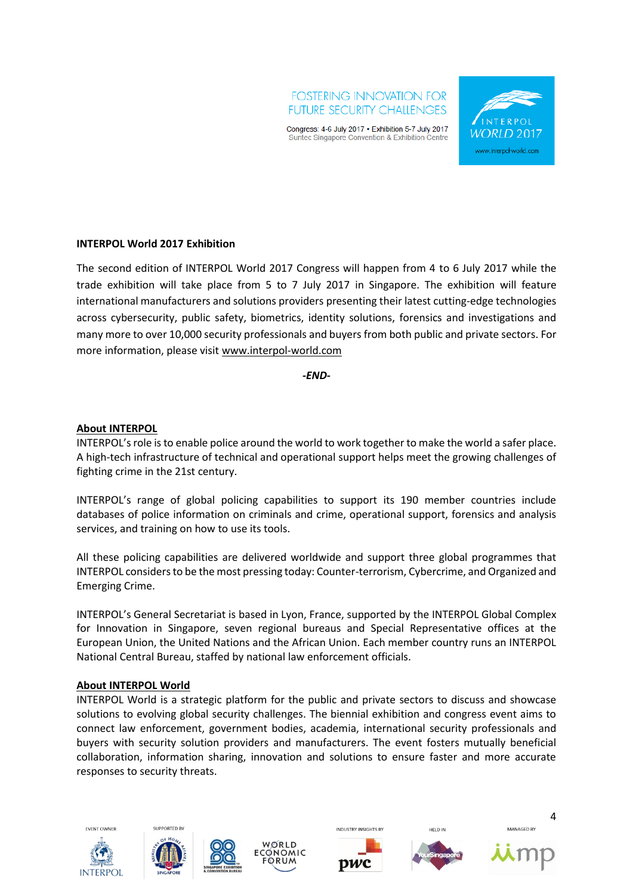



#### **INTERPOL World 2017 Exhibition**

The second edition of INTERPOL World 2017 Congress will happen from 4 to 6 July 2017 while the trade exhibition will take place from 5 to 7 July 2017 in Singapore. The exhibition will feature international manufacturers and solutions providers presenting their latest cutting-edge technologies across cybersecurity, public safety, biometrics, identity solutions, forensics and investigations and many more to over 10,000 security professionals and buyers from both public and private sectors. For more information, please visi[t www.interpol-world.com](http://www.interpol-world.com/) 

*-END-*

#### **About INTERPOL**

INTERPOL's role is to enable police around the world to work together to make the world a safer place. A high-tech infrastructure of technical and operational support helps meet the growing challenges of fighting crime in the 21st century.

INTERPOL's range of global policing capabilities to support its 190 member countries include databases of police information on criminals and crime, operational support, forensics and analysis services, and training on how to use its tools.

All these policing capabilities are delivered worldwide and support three global programmes that INTERPOL considers to be the most pressing today: Counter-terrorism, Cybercrime, and Organized and Emerging Crime.

INTERPOL's General Secretariat is based in Lyon, France, supported by the INTERPOL Global Complex for Innovation in Singapore, seven regional bureaus and Special Representative offices at the European Union, the United Nations and the African Union. Each member country runs an INTERPOL National Central Bureau, staffed by national law enforcement officials.

#### **About INTERPOL World**

INTERPOL World is a strategic platform for the public and private sectors to discuss and showcase solutions to evolving global security challenges. The biennial exhibition and congress event aims to connect law enforcement, government bodies, academia, international security professionals and buyers with security solution providers and manufacturers. The event fosters mutually beneficial collaboration, information sharing, innovation and solutions to ensure faster and more accurate responses to security threats.











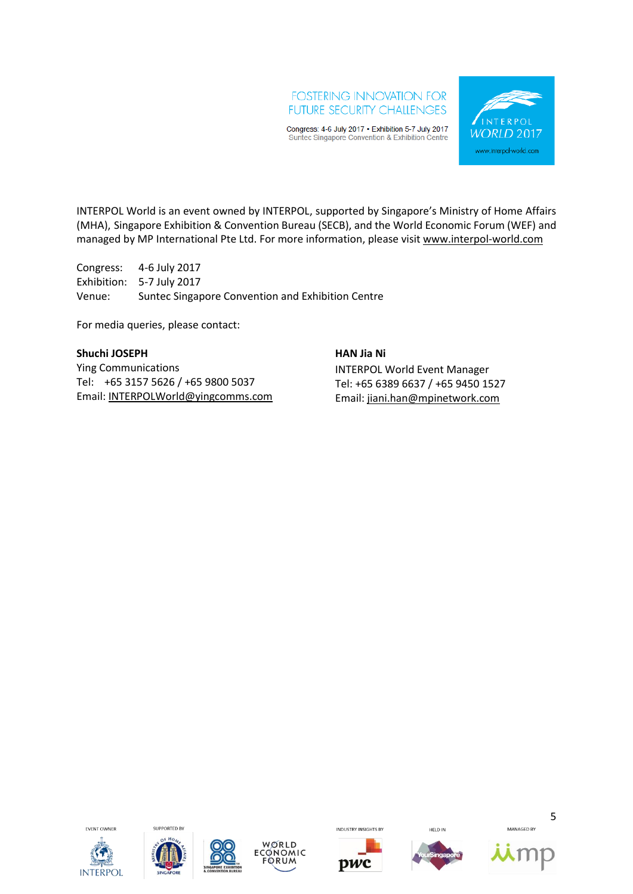## **FOSTERING INNOVATION FOR FUTURE SECURITY CHALLENGES**

Congress: 4-6 July 2017 . Exhibition 5-7 July 2017 Suntec Singapore Convention & Exhibition Centre



INTERPOL World is an event owned by INTERPOL, supported by Singapore's Ministry of Home Affairs (MHA), Singapore Exhibition & Convention Bureau (SECB), and the World Economic Forum (WEF) and managed by MP International Pte Ltd. For more information, please visit [www.interpol-world.com](http://www.interpol-world.com/) 

Congress: 4-6 July 2017 Exhibition: 5-7 July 2017 Venue: Suntec Singapore Convention and Exhibition Centre

For media queries, please contact:

#### **Shuchi JOSEPH**

Ying Communications Tel: +65 3157 5626 / +65 9800 5037 Email: [INTERPOLWorld@yingcomms.com](mailto:INTERPOLWorld@yingcomms.com) **HAN Jia Ni** INTERPOL World Event Manager Tel: +65 6389 6637 / +65 9450 1527 Email: [jiani.han@mpinetwork.com](mailto:jiani.han@mpinetwork.com)









**INDUSTRY INSIGHTS BY** 







MANAGED BY